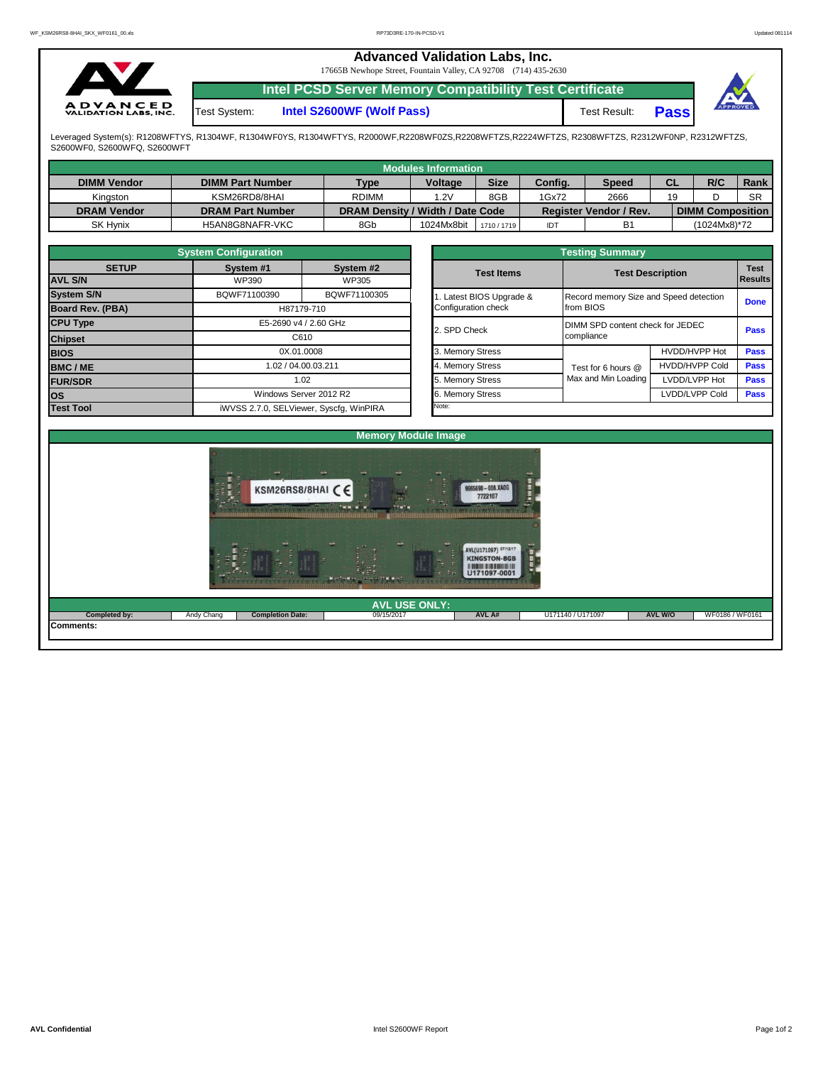## **Advanced Validation Labs, Inc.**  17665B Newhope Street, Fountain Valley, CA 92708 (714) 435-2630 **Intel PCSD Server Memory Compatibility Test Certificate A D V A N C E D**<br>VALIDATION LABS, INC. **Pass** Test System: **Intel S2600WF (Wolf Pass)** Test Result:

Leveraged System(s): R1208WFTYS, R1304WF, R1304WF0YS, R1304WFTYS, R2000WF,R2208WF0ZS,R2208WFTZS,R2224WFTZS, R2308WFTZS, R2312WF0NP, R2312WFTZS, S2600WF0, S2600WFQ, S2600WFT

|                    |                         |                                      | <b>Modules Information</b> |             |         |                               |    |                         |             |
|--------------------|-------------------------|--------------------------------------|----------------------------|-------------|---------|-------------------------------|----|-------------------------|-------------|
| <b>DIMM Vendor</b> | <b>DIMM Part Number</b> | <b>Type</b>                          | <b>Voltage</b>             | <b>Size</b> | Config. | <b>Speed</b>                  | СL | R/C                     | <b>Rank</b> |
| Kingston           | KSM26RD8/8HAI           | 8GB<br>1.2V<br>1Gx72<br><b>RDIMM</b> |                            |             |         | 2666<br>19                    |    |                         | <b>SR</b>   |
| <b>DRAM Vendor</b> | <b>DRAM Part Number</b> | DRAM Density / Width / Date Code     |                            |             |         | <b>Register Vendor / Rev.</b> |    | <b>DIMM Composition</b> |             |
| <b>SK Hynix</b>    | H5AN8G8NAFR-VKC         | 8Gb                                  | 1024Mx8bit                 | 1710 / 1719 | IDT     | B <sub>1</sub>                |    | (1024Mx8)*72            |             |

|                         | <b>System Configuration</b> |                                         |  | <b>Testing Summary</b> |                                  |                                        |             |  |  |  |  |  |
|-------------------------|-----------------------------|-----------------------------------------|--|------------------------|----------------------------------|----------------------------------------|-------------|--|--|--|--|--|
| <b>SETUP</b>            | System #1                   | System #2                               |  | <b>Test Items</b>      |                                  | <b>Test Description</b>                | <b>Test</b> |  |  |  |  |  |
| <b>AVL S/N</b>          | WP390                       | WP305                                   |  |                        |                                  | Results                                |             |  |  |  |  |  |
| <b>System S/N</b>       | BQWF71100390                | BQWF71100305                            |  | Latest BIOS Upgrade &  |                                  | Record memory Size and Speed detection |             |  |  |  |  |  |
| <b>Board Rev. (PBA)</b> |                             | H87179-710                              |  | Configuration check    | from BIOS                        | <b>Done</b>                            |             |  |  |  |  |  |
| <b>CPU Type</b>         |                             | E5-2690 v4 / 2.60 GHz                   |  | 2. SPD Check           | DIMM SPD content check for JEDEC |                                        | <b>Pass</b> |  |  |  |  |  |
| <b>Chipset</b>          | C610                        |                                         |  |                        | compliance                       |                                        |             |  |  |  |  |  |
| <b>BIOS</b>             |                             | 0X.01.0008                              |  | 3. Memory Stress       |                                  | HVDD/HVPP Hot<br><b>Pass</b>           |             |  |  |  |  |  |
| <b>BMC/ME</b>           |                             | 1.02 / 04.00.03.211                     |  | 4. Memory Stress       | Test for 6 hours @               | <b>HVDD/HVPP Cold</b>                  | <b>Pass</b> |  |  |  |  |  |
| <b>FUR/SDR</b>          |                             | 1.02                                    |  | 5. Memory Stress       | Max and Min Loading              | LVDD/LVPP Hot                          | <b>Pass</b> |  |  |  |  |  |
| <b>los</b>              |                             | Windows Server 2012 R2                  |  | 6. Memory Stress       |                                  | LVDD/LVPP Cold                         | <b>Pass</b> |  |  |  |  |  |
| <b>Test Tool</b>        |                             | iWVSS 2.7.0, SELViewer, Syscfq, WinPIRA |  | Note:                  |                                  |                                        |             |  |  |  |  |  |

|              | <b>System Configuration</b> |                                    | <b>Testing Summary</b> |                                        |                       |                               |  |  |  |  |  |  |  |
|--------------|-----------------------------|------------------------------------|------------------------|----------------------------------------|-----------------------|-------------------------------|--|--|--|--|--|--|--|
| <b>SETUP</b> | System #1<br>WP390          | System #2<br>WP305                 | <b>Test Items</b>      | <b>Test Description</b>                |                       | <b>Test</b><br><b>Results</b> |  |  |  |  |  |  |  |
|              | BQWF71100390                | BQWF71100305                       | Latest BIOS Upgrade &  | Record memory Size and Speed detection |                       |                               |  |  |  |  |  |  |  |
| PBA)         |                             | H87179-710                         | Configuration check    | from BIOS                              | <b>Done</b>           |                               |  |  |  |  |  |  |  |
|              |                             | E5-2690 v4 / 2.60 GHz              | 2. SPD Check           | DIMM SPD content check for JEDEC       |                       | <b>Pass</b>                   |  |  |  |  |  |  |  |
|              |                             | C610                               |                        | compliance                             |                       |                               |  |  |  |  |  |  |  |
|              |                             | 0X.01.0008                         | 3. Memory Stress       |                                        | HVDD/HVPP Hot         | <b>Pass</b>                   |  |  |  |  |  |  |  |
|              |                             | 1.02 / 04.00.03.211                | 4. Memory Stress       | Test for 6 hours @                     | <b>HVDD/HVPP Cold</b> |                               |  |  |  |  |  |  |  |
|              |                             | 1.02                               | 5. Memory Stress       | Max and Min Loading                    | LVDD/LVPP Hot         | <b>Pass</b>                   |  |  |  |  |  |  |  |
|              |                             | Windows Server 2012 R2             | 6. Memory Stress       |                                        | LVDD/LVPP Cold        |                               |  |  |  |  |  |  |  |
|              |                             | iWVSS 270 SELViewer Svecta WinPIRA | Note:                  |                                        |                       |                               |  |  |  |  |  |  |  |